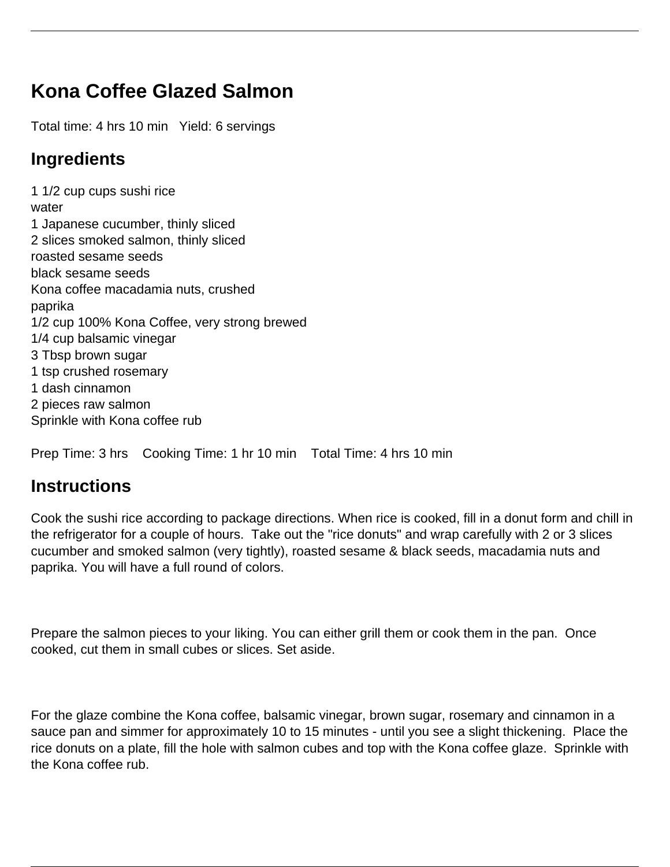## **Kona Coffee Glazed Salmon**

Total time: 4 hrs 10 min Yield: 6 servings

## **Ingredients**

1 1/2 cup cups sushi rice water 1 Japanese cucumber, thinly sliced 2 slices smoked salmon, thinly sliced roasted sesame seeds black sesame seeds Kona coffee macadamia nuts, crushed paprika 1/2 cup 100% Kona Coffee, very strong brewed 1/4 cup balsamic vinegar 3 Tbsp brown sugar 1 tsp crushed rosemary 1 dash cinnamon 2 pieces raw salmon Sprinkle with Kona coffee rub

Prep Time: 3 hrs Cooking Time: 1 hr 10 min Total Time: 4 hrs 10 min

## **Instructions**

Cook the sushi rice according to package directions. When rice is cooked, fill in a donut form and chill in the refrigerator for a couple of hours. Take out the "rice donuts" and wrap carefully with 2 or 3 slices cucumber and smoked salmon (very tightly), roasted sesame & black seeds, macadamia nuts and paprika. You will have a full round of colors.

Prepare the salmon pieces to your liking. You can either grill them or cook them in the pan. Once cooked, cut them in small cubes or slices. Set aside.

For the glaze combine the Kona coffee, balsamic vinegar, brown sugar, rosemary and cinnamon in a sauce pan and simmer for approximately 10 to 15 minutes - until you see a slight thickening. Place the rice donuts on a plate, fill the hole with salmon cubes and top with the Kona coffee glaze. Sprinkle with the Kona coffee rub.